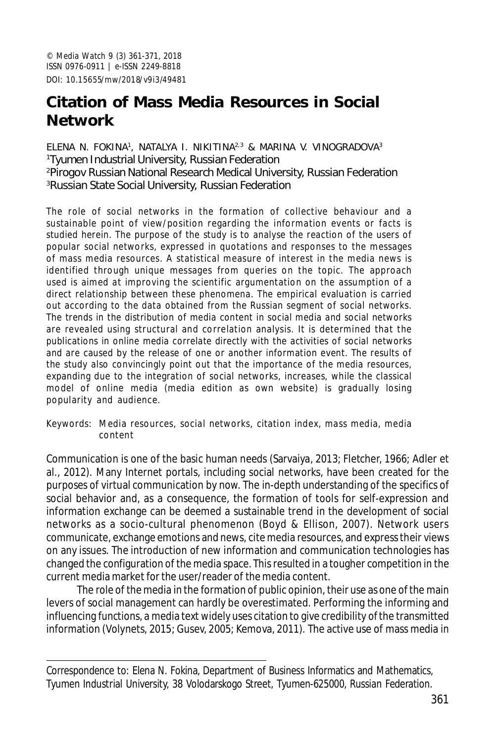© *Media Watch* 9 (3) 361-371, 2018 ISSN 0976-0911 | e-ISSN 2249-8818 DOI: 10.15655/mw/2018/v9i3/49481

# **Citation of Mass Media Resources in Social Network**

ELENA N. FOKINA1, NATALYA I. NIKITINA23 & MARINA V. VINOGRADOVA3 Tyumen Industrial University, Russian Federation Pirogov Russian National Research Medical University, Russian Federation Russian State Social University, Russian Federation

The role of social networks in the formation of collective behaviour and a sustainable point of view/position regarding the information events or facts is studied herein. The purpose of the study is to analyse the reaction of the users of popular social networks, expressed in quotations and responses to the messages of mass media resources. A statistical measure of interest in the media news is identified through unique messages from queries on the topic. The approach used is aimed at improving the scientific argumentation on the assumption of a direct relationship between these phenomena. The empirical evaluation is carried out according to the data obtained from the Russian segment of social networks. The trends in the distribution of media content in social media and social networks are revealed using structural and correlation analysis. It is determined that the publications in online media correlate directly with the activities of social networks and are caused by the release of one or another information event. The results of the study also convincingly point out that the importance of the media resources, expanding due to the integration of social networks, increases, while the classical model of online media (media edition as own website) is gradually losing popularity and audience.

Keywords: Media resources, social networks, citation index, mass media, media content

Communication is one of the basic human needs (Sarvaiya, 2013; Fletcher, 1966; Adler et al., 2012). Many Internet portals, including social networks, have been created for the purposes of virtual communication by now. The in-depth understanding of the specifics of social behavior and, as a consequence, the formation of tools for self-expression and information exchange can be deemed a sustainable trend in the development of social networks as a socio-cultural phenomenon (Boyd & Ellison, 2007). Network users communicate, exchange emotions and news, cite media resources, and express their views on any issues. The introduction of new information and communication technologies has changed the configuration of the media space. This resulted in a tougher competition in the current media market for the user/reader of the media content.

The role of the media in the formation of public opinion, their use as one of the main levers of social management can hardly be overestimated. Performing the informing and influencing functions, a media text widely uses citation to give credibility of the transmitted information (Volynets, 2015; Gusev, 2005; Kemova, 2011). The active use of mass media in

Correspondence to: Elena N. Fokina, Department of Business Informatics and Mathematics, Tyumen Industrial University, 38 Volodarskogo Street, Tyumen-625000, Russian Federation.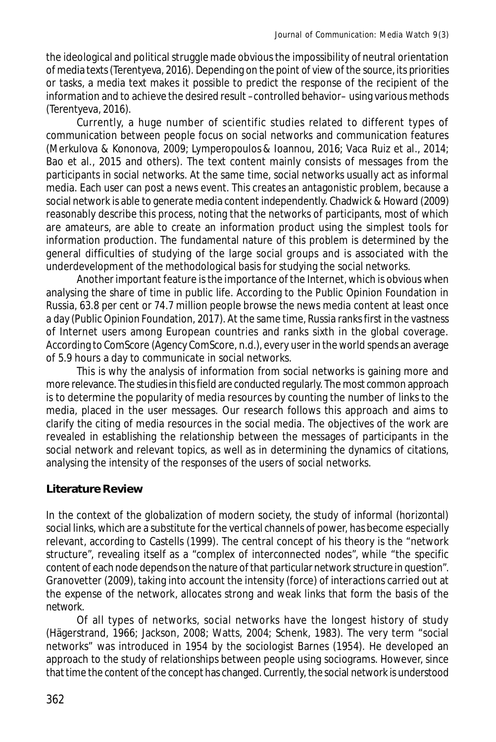the ideological and political struggle made obvious the impossibility of neutral orientation of media texts (Terentyeva, 2016). Depending on the point of view of the source, its priorities or tasks, a media text makes it possible to predict the response of the recipient of the information and to achieve the desired result –controlled behavior– using various methods (Terentyeva, 2016).

Currently, a huge number of scientific studies related to different types of communication between people focus on social networks and communication features (Merkulova & Kononova, 2009; Lymperopoulos& Ioannou, 2016; Vaca Ruiz et al., 2014; Bao et al., 2015 and others). The text content mainly consists of messages from the participants in social networks. At the same time, social networks usually act as informal media. Each user can post a news event. This creates an antagonistic problem, because a social network is able to generate media content independently. Chadwick & Howard (2009) reasonably describe this process, noting that the networks of participants, most of which are amateurs, are able to create an information product using the simplest tools for information production. The fundamental nature of this problem is determined by the general difficulties of studying of the large social groups and is associated with the underdevelopment of the methodological basis for studying the social networks.

Another important feature is the importance of the Internet, which is obvious when analysing the share of time in public life. According to the Public Opinion Foundation in Russia, 63.8 per cent or 74.7 million people browse the news media content at least once a day (Public Opinion Foundation, 2017). At the same time, Russia ranks first in the vastness of Internet users among European countries and ranks sixth in the global coverage. According to ComScore (Agency ComScore, n.d.), every user in the world spends an average of 5.9 hours a day to communicate in social networks.

This is why the analysis of information from social networks is gaining more and more relevance. The studies in this field are conducted regularly. The most common approach is to determine the popularity of media resources by counting the number of links to the media, placed in the user messages. Our research follows this approach and aims to clarify the citing of media resources in the social media. The objectives of the work are revealed in establishing the relationship between the messages of participants in the social network and relevant topics, as well as in determining the dynamics of citations, analysing the intensity of the responses of the users of social networks.

# **Literature Review**

In the context of the globalization of modern society, the study of informal (horizontal) social links, which are a substitute for the vertical channels of power, has become especially relevant, according to Castells (1999). The central concept of his theory is the "network structure", revealing itself as a "complex of interconnected nodes", while "the specific content of each node depends on the nature of that particular network structure in question". Granovetter (2009), taking into account the intensity (force) of interactions carried out at the expense of the network, allocates strong and weak links that form the basis of the network.

Of all types of networks, social networks have the longest history of study (Hägerstrand, 1966; Jackson, 2008; Watts, 2004; Schenk, 1983). The very term "social networks" was introduced in 1954 by the sociologist Barnes (1954). He developed an approach to the study of relationships between people using sociograms. However, since that time the content of the concept has changed. Currently, the social network is understood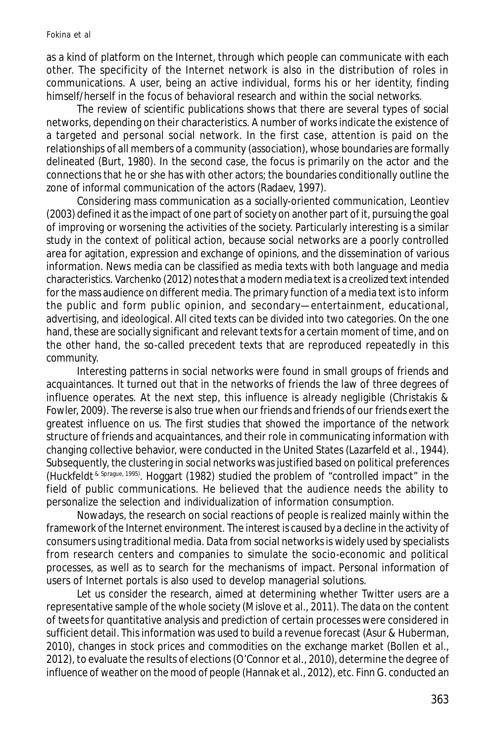as a kind of platform on the Internet, through which people can communicate with each other. The specificity of the Internet network is also in the distribution of roles in communications. A user, being an active individual, forms his or her identity, finding himself/herself in the focus of behavioral research and within the social networks.

The review of scientific publications shows that there are several types of social networks, depending on their characteristics. A number of works indicate the existence of a targeted and personal social network. In the first case, attention is paid on the relationships of all members of a community (association), whose boundaries are formally delineated (Burt, 1980). In the second case, the focus is primarily on the actor and the connections that he or she has with other actors; the boundaries conditionally outline the zone of informal communication of the actors (Radaev, 1997).

Considering mass communication as a socially-oriented communication, Leontiev (2003) defined it as the impact of one part of society on another part of it, pursuing the goal of improving or worsening the activities of the society. Particularly interesting is a similar study in the context of political action, because social networks are a poorly controlled area for agitation, expression and exchange of opinions, and the dissemination of various information. News media can be classified as media texts with both language and media characteristics. Varchenko (2012) notes that a modern media text is a creolized text intended for the mass audience on different media. The primary function of a media text is to inform the public and form public opinion, and secondary—entertainment, educational, advertising, and ideological. All cited texts can be divided into two categories. On the one hand, these are socially significant and relevant texts for a certain moment of time, and on the other hand, the so-called precedent texts that are reproduced repeatedly in this community.

Interesting patterns in social networks were found in small groups of friends and acquaintances. It turned out that in the networks of friends the law of three degrees of influence operates. At the next step, this influence is already negligible (Christakis & Fowler, 2009). The reverse is also true when our friends and friends of our friends exert the greatest influence on us. The first studies that showed the importance of the network structure of friends and acquaintances, and their role in communicating information with changing collective behavior, were conducted in the United States (Lazarfeld et al., 1944). Subsequently, the clustering in social networks was justified based on political preferences (Huckfeldt & Sprague, 1995). Hoggart (1982) studied the problem of "controlled impact" in the field of public communications. He believed that the audience needs the ability to personalize the selection and individualization of information consumption.

Nowadays, the research on social reactions of people is realized mainly within the framework of the Internet environment. The interest is caused by a decline in the activity of consumers using traditional media. Data from social networks is widely used by specialists from research centers and companies to simulate the socio-economic and political processes, as well as to search for the mechanisms of impact. Personal information of users of Internet portals is also used to develop managerial solutions.

Let us consider the research, aimed at determining whether Twitter users are a representative sample of the whole society (Mislove et al., 2011). The data on the content of tweets for quantitative analysis and prediction of certain processes were considered in sufficient detail. This information was used to build a revenue forecast (Asur & Huberman, 2010), changes in stock prices and commodities on the exchange market (Bollen et al., 2012), to evaluate the results of elections (O'Connor et al., 2010), determine the degree of influence of weather on the mood of people (Hannak et al., 2012), etc. Finn G. conducted an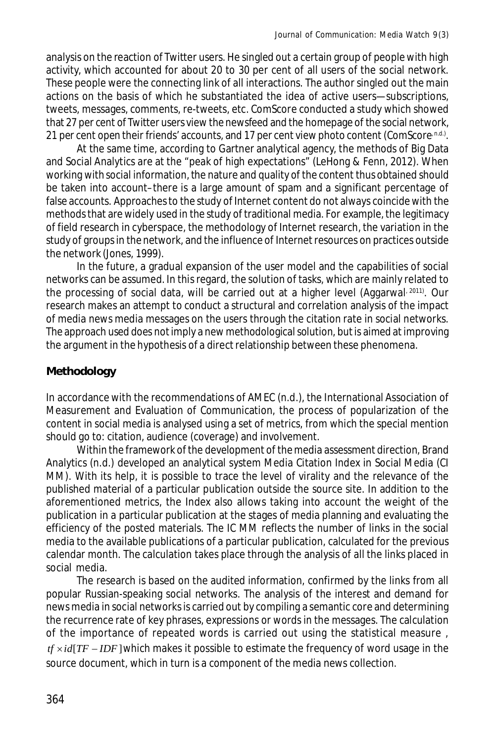analysis on the reaction of Twitter users. He singled out a certain group of people with high activity, which accounted for about 20 to 30 per cent of all users of the social network. These people were the connecting link of all interactions. The author singled out the main actions on the basis of which he substantiated the idea of active users—subscriptions, tweets, messages, comments, re-tweets, etc. ComScore conducted a study which showed that 27 per cent of Twitter users view the newsfeed and the homepage of the social network, 21 per cent open their friends' accounts, and 17 per cent view photo content (ComScore nd).

At the same time, according to Gartner analytical agency, the methods of Big Data and Social Analytics are at the "peak of high expectations" (LeHong & Fenn, 2012). When working with social information, the nature and quality of the content thus obtained should be taken into account–there is a large amount of spam and a significant percentage of false accounts. Approaches to the study of Internet content do not always coincide with the methods that are widely used in the study of traditional media. For example, the legitimacy of field research in cyberspace, the methodology of Internet research, the variation in the study of groups in the network, and the influence of Internet resources on practices outside the network (Jones, 1999).

In the future, a gradual expansion of the user model and the capabilities of social networks can be assumed. In this regard, the solution of tasks, which are mainly related to the processing of social data, will be carried out at a higher level (Aggarwal, 2011). Our research makes an attempt to conduct a structural and correlation analysis of the impact of media news media messages on the users through the citation rate in social networks. The approach used does not imply a new methodological solution, but is aimed at improving the argument in the hypothesis of a direct relationship between these phenomena.

# **Methodology**

In accordance with the recommendations of AMEC (n.d.), the International Association of Measurement and Evaluation of Communication, the process of popularization of the content in social media is analysed using a set of metrics, from which the special mention should go to: citation, audience (coverage) and involvement.

Within the framework of the development of the media assessment direction, Brand Analytics (n.d.) developed an analytical system Media Citation Index in Social Media (CI MM). With its help, it is possible to trace the level of virality and the relevance of the published material of a particular publication outside the source site. In addition to the aforementioned metrics, the Index also allows taking into account the weight of the publication in a particular publication at the stages of media planning and evaluating the efficiency of the posted materials. The IC MM reflects the number of links in the social media to the available publications of a particular publication, calculated for the previous calendar month. The calculation takes place through the analysis of all the links placed in social media.

The research is based on the audited information, confirmed by the links from all popular Russian-speaking social networks. The analysis of the interest and demand for news media in social networks is carried out by compiling a semantic core and determining the recurrence rate of key phrases, expressions or words in the messages. The calculation of the importance of repeated words is carried out using the statistical measure ,  $tf \times id$ [ $TF$  –  $IDF$ ]which makes it possible to estimate the frequency of word usage in the source document, which in turn is a component of the media news collection.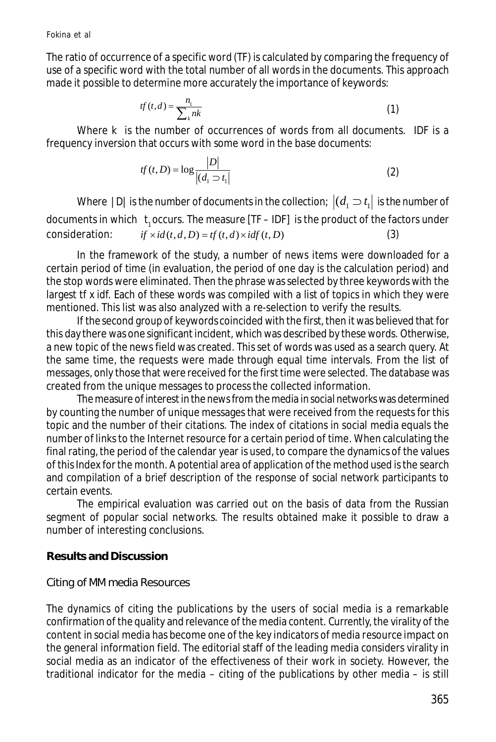The ratio of occurrence of a specific word (TF) is calculated by comparing the frequency of use of a specific word with the total number of all words in the documents. This approach made it possible to determine more accurately the importance of keywords:

$$
tf(t,d) = \frac{n_1}{\sum_k nk}
$$
 (1)

Where k is the number of occurrences of words from all documents. IDF is a frequency inversion that occurs with some word in the base documents:

$$
tf(t,D) = \log \frac{|D|}{|(d_1 \supset t_1)}\tag{2}
$$

Where |D| is the number of documents in the collection;  $|(d_1 \supset t_1)|$  is the number of documents in which  $t_1$  occurs. The measure [TF – IDF] is the product of the factors under<br>consideration  $i f \times id (t d) D = tf (t d) \times id f (t D)$  (3)  $if \times id(t, d, D) = tf(t, d) \times idf(t, D)$  (3)

In the framework of the study, a number of news items were downloaded for a certain period of time (in evaluation, the period of one day is the calculation period) and the stop words were eliminated. Then the phrase was selected by three keywords with the largest tf x idf. Each of these words was compiled with a list of topics in which they were mentioned. This list was also analyzed with a re-selection to verify the results.

If the second group of keywords coincided with the first, then it was believed that for this day there was one significant incident, which was described by these words. Otherwise, a new topic of the news field was created. This set of words was used as a search query. At the same time, the requests were made through equal time intervals. From the list of messages, only those that were received for the first time were selected. The database was created from the unique messages to process the collected information.

The measure of interest in the news from the media in social networks was determined by counting the number of unique messages that were received from the requests for this topic and the number of their citations. The index of citations in social media equals the number of links to the Internet resource for a certain period of time. When calculating the final rating, the period of the calendar year is used, to compare the dynamics of the values of this Index for the month. A potential area of application of the method used is the search and compilation of a brief description of the response of social network participants to certain events.

The empirical evaluation was carried out on the basis of data from the Russian segment of popular social networks. The results obtained make it possible to draw a number of interesting conclusions.

# **Results and Discussion**

#### Citing of MM media Resources

The dynamics of citing the publications by the users of social media is a remarkable confirmation of the quality and relevance of the media content. Currently, the virality of the content in social media has become one of the key indicators of media resource impact on the general information field. The editorial staff of the leading media considers virality in social media as an indicator of the effectiveness of their work in society. However, the traditional indicator for the media – citing of the publications by other media – is still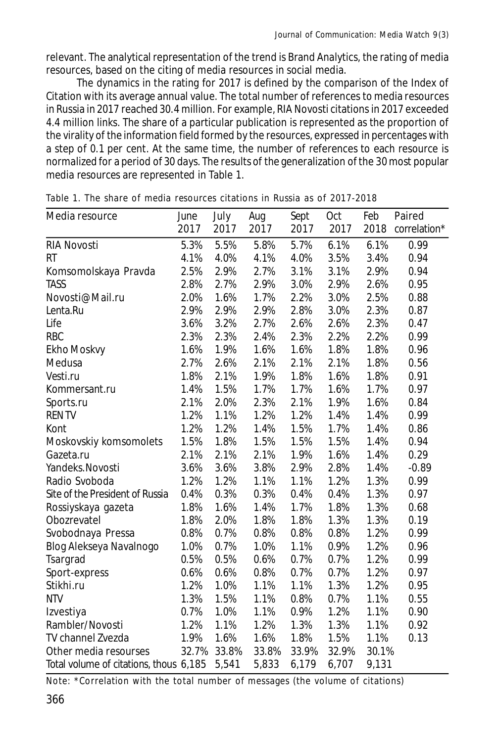relevant. The analytical representation of the trend is Brand Analytics, the rating of media resources, based on the citing of media resources in social media.

The dynamics in the rating for 2017 is defined by the comparison of the Index of Citation with its average annual value. The total number of references to media resources in Russia in 2017 reached 30.4 million. For example, RIA Novosti citations in 2017 exceeded 4.4 million links. The share of a particular publication is represented as the proportion of the virality of the information field formed by the resources, expressed in percentages with a step of 0.1 per cent. At the same time, the number of references to each resource is normalized for a period of 30 days. The results of the generalization of the 30 most popular media resources are represented in Table 1.

| Media resource                         | June  | July  | Aug   | Sept  | Oct   | Feb   | Paired       |
|----------------------------------------|-------|-------|-------|-------|-------|-------|--------------|
|                                        | 2017  | 2017  | 2017  | 2017  | 2017  | 2018  | correlation* |
| <b>RIA Novosti</b>                     | 5.3%  | 5.5%  | 5.8%  | 5.7%  | 6.1%  | 6.1%  | 0.99         |
| RT                                     | 4.1%  | 4.0%  | 4.1%  | 4.0%  | 3.5%  | 3.4%  | 0.94         |
| Komsomolskaya Pravda                   | 2.5%  | 2.9%  | 2.7%  | 3.1%  | 3.1%  | 2.9%  | 0.94         |
| <b>TASS</b>                            | 2.8%  | 2.7%  | 2.9%  | 3.0%  | 2.9%  | 2.6%  | 0.95         |
| Novosti@Mail.ru                        | 2.0%  | 1.6%  | 1.7%  | 2.2%  | 3.0%  | 2.5%  | 0.88         |
| Lenta.Ru                               | 2.9%  | 2.9%  | 2.9%  | 2.8%  | 3.0%  | 2.3%  | 0.87         |
| Life                                   | 3.6%  | 3.2%  | 2.7%  | 2.6%  | 2.6%  | 2.3%  | 0.47         |
| <b>RBC</b>                             | 2.3%  | 2.3%  | 2.4%  | 2.3%  | 2.2%  | 2.2%  | 0.99         |
| Ekho Moskvy                            | 1.6%  | 1.9%  | 1.6%  | 1.6%  | 1.8%  | 1.8%  | 0.96         |
| Medusa                                 | 2.7%  | 2.6%  | 2.1%  | 2.1%  | 2.1%  | 1.8%  | 0.56         |
| Vesti.ru                               | 1.8%  | 2.1%  | 1.9%  | 1.8%  | 1.6%  | 1.8%  | 0.91         |
| Kommersant.ru                          | 1.4%  | 1.5%  | 1.7%  | 1.7%  | 1.6%  | 1.7%  | 0.97         |
| Sports.ru                              | 2.1%  | 2.0%  | 2.3%  | 2.1%  | 1.9%  | 1.6%  | 0.84         |
| <b>RENTV</b>                           | 1.2%  | 1.1%  | 1.2%  | 1.2%  | 1.4%  | 1.4%  | 0.99         |
| Kont                                   | 1.2%  | 1.2%  | 1.4%  | 1.5%  | 1.7%  | 1.4%  | 0.86         |
| Moskovskiy komsomolets                 | 1.5%  | 1.8%  | 1.5%  | 1.5%  | 1.5%  | 1.4%  | 0.94         |
| Gazeta.ru                              | 2.1%  | 2.1%  | 2.1%  | 1.9%  | 1.6%  | 1.4%  | 0.29         |
| Yandeks. Novosti                       | 3.6%  | 3.6%  | 3.8%  | 2.9%  | 2.8%  | 1.4%  | $-0.89$      |
| Radio Svoboda                          | 1.2%  | 1.2%  | 1.1%  | 1.1%  | 1.2%  | 1.3%  | 0.99         |
| Site of the President of Russia        | 0.4%  | 0.3%  | 0.3%  | 0.4%  | 0.4%  | 1.3%  | 0.97         |
| Rossiyskaya gazeta                     | 1.8%  | 1.6%  | 1.4%  | 1.7%  | 1.8%  | 1.3%  | 0.68         |
| Obozrevatel                            | 1.8%  | 2.0%  | 1.8%  | 1.8%  | 1.3%  | 1.3%  | 0.19         |
| Svobodnaya Pressa                      | 0.8%  | 0.7%  | 0.8%  | 0.8%  | 0.8%  | 1.2%  | 0.99         |
| Blog Alekseya Navalnogo                | 1.0%  | 0.7%  | 1.0%  | 1.1%  | 0.9%  | 1.2%  | 0.96         |
| Tsargrad                               | 0.5%  | 0.5%  | 0.6%  | 0.7%  | 0.7%  | 1.2%  | 0.99         |
| Sport-express                          | 0.6%  | 0.6%  | 0.8%  | 0.7%  | 0.7%  | 1.2%  | 0.97         |
| Stikhi.ru                              | 1.2%  | 1.0%  | 1.1%  | 1.1%  | 1.3%  | 1.2%  | 0.95         |
| <b>NTV</b>                             | 1.3%  | 1.5%  | 1.1%  | 0.8%  | 0.7%  | 1.1%  | 0.55         |
| Izvestiya                              | 0.7%  | 1.0%  | 1.1%  | 0.9%  | 1.2%  | 1.1%  | 0.90         |
| Rambler/Novosti                        | 1.2%  | 1.1%  | 1.2%  | 1.3%  | 1.3%  | 1.1%  | 0.92         |
| TV channel Zvezda                      | 1.9%  | 1.6%  | 1.6%  | 1.8%  | 1.5%  | 1.1%  | 0.13         |
| Other media resourses                  | 32.7% | 33.8% | 33.8% | 33.9% | 32.9% | 30.1% |              |
| Total volume of citations, thous 6,185 |       | 5,541 | 5,833 | 6,179 | 6,707 | 9,131 |              |

Table 1. The share of media resources citations in Russia as of 2017-2018

Note: \*Correlation with the total number of messages (the volume of citations)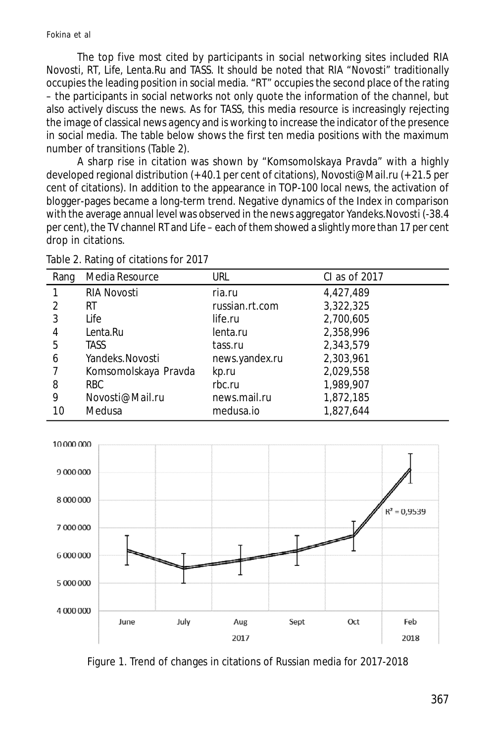The top five most cited by participants in social networking sites included RIA Novosti, RT, Life, Lenta.Ru and TASS. It should be noted that RIA "Novosti" traditionally occupies the leading position in social media. "RT" occupies the second place of the rating – the participants in social networks not only quote the information of the channel, but also actively discuss the news. As for TASS, this media resource is increasingly rejecting the image of classical news agency and is working to increase the indicator of the presence in social media. The table below shows the first ten media positions with the maximum number of transitions (Table 2).

A sharp rise in citation was shown by "Komsomolskaya Pravda" with a highly developed regional distribution (+ 40.1 per cent of citations), Novosti@Mail.ru (+ 21.5 per cent of citations). In addition to the appearance in TOP-100 local news, the activation of blogger-pages became a long-term trend. Negative dynamics of the Index in comparison with the average annual level was observed in the news aggregator Yandeks.Novosti (-38.4 per cent), the TV channel RT and Life – each of them showed a slightly more than 17 per cent drop in citations.

| Rang           | Media Resource       | URL            | CI as of 2017 |
|----------------|----------------------|----------------|---------------|
|                | RIA Novosti          | ria.ru         | 4,427,489     |
| $\mathfrak{D}$ | RT.                  | russian.rt.com | 3,322,325     |
| 3              | Life                 | life.ru        | 2,700,605     |
| 4              | Lenta.Ru             | lenta.ru       | 2,358,996     |
| 5              | TASS.                | tass.ru        | 2,343,579     |
| 6              | Yandeks. Novosti     | news.yandex.ru | 2,303,961     |
|                | Komsomolskaya Pravda | kp.ru          | 2,029,558     |
| 8              | RBC                  | rbc.ru         | 1,989,907     |
| 9              | Novosti@Mail.ru      | news.mail.ru   | 1,872,185     |
| 10             | Medusa               | medusa.jo      | 1,827,644     |

Table 2. Rating of citations for 2017



Figure 1. Trend of changes in citations of Russian media for 2017-2018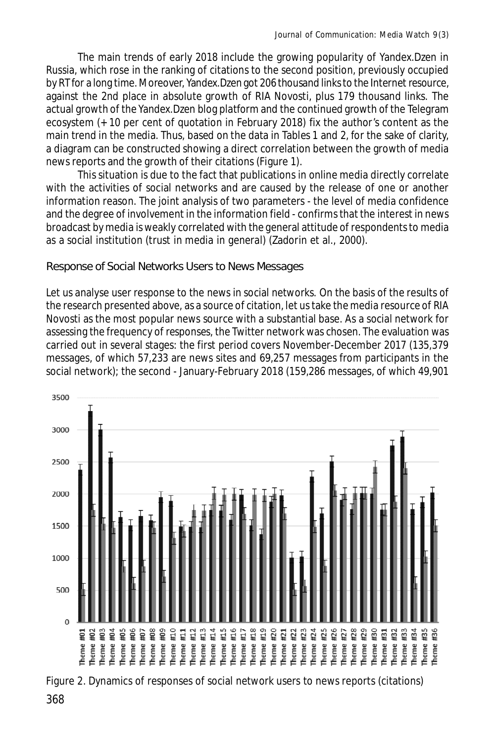The main trends of early 2018 include the growing popularity of Yandex.Dzen in Russia, which rose in the ranking of citations to the second position, previously occupied by RT for a long time. Moreover, Yandex.Dzen got 206 thousand links to the Internet resource, against the 2nd place in absolute growth of RIA Novosti, plus 179 thousand links. The actual growth of the Yandex.Dzen blog platform and the continued growth of the Telegram ecosystem (+ 10 per cent of quotation in February 2018) fix the author's content as the main trend in the media. Thus, based on the data in Tables 1 and 2, for the sake of clarity, a diagram can be constructed showing a direct correlation between the growth of media news reports and the growth of their citations (Figure 1).

This situation is due to the fact that publications in online media directly correlate with the activities of social networks and are caused by the release of one or another information reason. The joint analysis of two parameters - the level of media confidence and the degree of involvement in the information field - confirms that the interest in news broadcast by media is weakly correlated with the general attitude of respondents to media as a social institution (trust in media in general) (Zadorin et al., 2000).

# Response of Social Networks Users to News Messages

Let us analyse user response to the news in social networks. On the basis of the results of the research presented above, as a source of citation, let us take the media resource of RIA Novosti as the most popular news source with a substantial base. As a social network for assessing the frequency of responses, the Twitter network was chosen. The evaluation was carried out in several stages: the first period covers November-December 2017 (135,379 messages, of which 57,233 are news sites and 69,257 messages from participants in the social network); the second - January-February 2018 (159,286 messages, of which 49,901



368 Figure 2. Dynamics of responses of social network users to news reports (citations)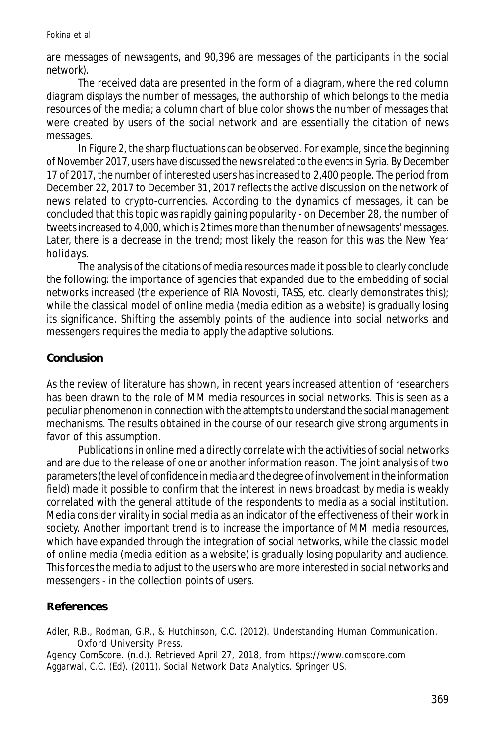are messages of newsagents, and 90,396 are messages of the participants in the social network).

The received data are presented in the form of a diagram, where the red column diagram displays the number of messages, the authorship of which belongs to the media resources of the media; a column chart of blue color shows the number of messages that were created by users of the social network and are essentially the citation of news messages.

In Figure 2, the sharp fluctuations can be observed. For example, since the beginning of November 2017, users have discussed the news related to the events in Syria. By December 17 of 2017, the number of interested users has increased to 2,400 people. The period from December 22, 2017 to December 31, 2017 reflects the active discussion on the network of news related to crypto-currencies. According to the dynamics of messages, it can be concluded that this topic was rapidly gaining popularity - on December 28, the number of tweets increased to 4,000, which is 2 times more than the number of newsagents' messages. Later, there is a decrease in the trend; most likely the reason for this was the New Year holidays.

The analysis of the citations of media resources made it possible to clearly conclude the following: the importance of agencies that expanded due to the embedding of social networks increased (the experience of RIA Novosti, TASS, etc. clearly demonstrates this); while the classical model of online media (media edition as a website) is gradually losing its significance. Shifting the assembly points of the audience into social networks and messengers requires the media to apply the adaptive solutions.

#### **Conclusion**

As the review of literature has shown, in recent years increased attention of researchers has been drawn to the role of MM media resources in social networks. This is seen as a peculiar phenomenon in connection with the attempts to understand the social management mechanisms. The results obtained in the course of our research give strong arguments in favor of this assumption.

Publications in online media directly correlate with the activities of social networks and are due to the release of one or another information reason. The joint analysis of two parameters (the level of confidence in media and the degree of involvement in the information field) made it possible to confirm that the interest in news broadcast by media is weakly correlated with the general attitude of the respondents to media as a social institution. Media consider virality in social media as an indicator of the effectiveness of their work in society. Another important trend is to increase the importance of MM media resources, which have expanded through the integration of social networks, while the classic model of online media (media edition as a website) is gradually losing popularity and audience. This forces the media to adjust to the users who are more interested in social networks and messengers - in the collection points of users.

#### **References**

Adler, R.B., Rodman, G.R., & Hutchinson, C.C. (2012). *Understanding Human Communication*. Oxford University Press.

*Agency ComScore*. (n.d.). Retrieved April 27, 2018, from https://www.comscore.com Aggarwal, C.C. (Ed). (2011). *Social Network Data Analytics*. Springer US.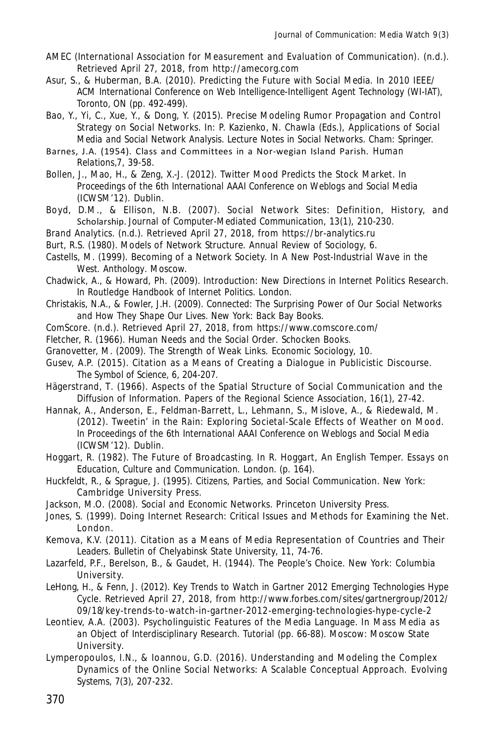- *AMEC (International Association for Measurement and Evaluation of Communication).* (n.d.). Retrieved April 27, 2018, from http://amecorg.com
- Asur, S., & Huberman, B.A. (2010). Predicting the Future with Social Media. In *2010 IEEE/ ACM International Conference on Web Intelligence-Intelligent Agent Technology (WI-IAT), Toronto, ON* (pp. 492-499).
- Bao, Y., Yi, C., Xue, Y., & Dong, Y. (2015). Precise Modeling Rumor Propagation and Control Strategy on Social Networks. In: P. Kazienko, N. Chawla (Eds.), *Applications of Social Media and Social Network Analysis. Lecture Notes in Social Networks*. Cham: Springer.
- Barnes, J.A. (1954). Class and Committees in a Nor-wegian Island Parish. Human *Relations,7*, 39-58.
- Bollen, J., Mao, H., & Zeng, X.-J. (2012). Twitter Mood Predicts the Stock Market. In *Proceedings of the 6th International AAAI Conference on Weblogs and Social Media (ICWSM'12)*. Dublin.
- Boyd, D.M., & Ellison, N.B. (2007). Social Network Sites: Definition, History, and Scholarship. *Journal of Computer-Mediated Communication, 13*(1), 210-230.
- *Brand Analytics*. (n.d.). Retrieved April 27, 2018, from https://br-analytics.ru
- Burt, R.S. (1980). Models of Network Structure. *Annual Review of Sociology, 6.*
- Castells, M. (1999). Becoming of a Network Society. In *A New Post-Industrial Wave in the West. Anthology*. Moscow.
- Chadwick, A., & Howard, Ph. (2009). Introduction: New Directions in Internet Politics Research. In *Routledge Handbook of Internet Politics*. London.
- Christakis, N.A., & Fowler, J.H. (2009). *Connected: The Surprising Power of Our Social Networks and How They Shape Our Lives*. New York: Back Bay Books.
- *ComScore.* (n.d.). Retrieved April 27, 2018, from https://www.comscore.com/
- Fletcher, R. (1966). *Human Needs and the Social Order*. Schocken Books.
- Granovetter, M. (2009). The Strength of Weak Links. *Economic Sociology, 10*.
- Gusev, A.P. (2015). Citation as a Means of Creating a Dialogue in Publicistic Discourse. *The Symbol of Science, 6*, 204-207.
- Hägerstrand, T. (1966). Aspects of the Spatial Structure of Social Communication and the Diffusion of Information. *Papers of the Regional Science Association, 16*(1), 27-42.
- Hannak, A., Anderson, E., Feldman-Barrett, L., Lehmann, S., Mislove, A., & Riedewald, M. (2012). Tweetin' in the Rain: Exploring Societal-Scale Effects of Weather on Mood. In *Proceedings of the 6th International AAAI Conference on Weblogs and Social Media (ICWSM'12)*. Dublin.
- Hoggart, R. (1982). The Future of Broadcasting. In R. Hoggart, *An English Temper. Essays on Education, Culture and Communication.* London. (p. 164).
- Huckfeldt, R., & Sprague, J. (1995). *Citizens, Parties, and Social Communication*. New York: Cambridge University Press.
- Jackson, M.O. (2008). *Social and Economic Networks*. Princeton University Press.
- Jones, S. (1999). *Doing Internet Research: Critical Issues and Methods for Examining the Net*. London.
- Kemova, K.V. (2011). Citation as a Means of Media Representation of Countries and Their Leaders. *Bulletin of Chelyabinsk State University, 11*, 74-76.
- Lazarfeld, P.F., Berelson, B., & Gaudet, H. (1944). *The People's Choice*. New York: Columbia University.
- LeHong, H., & Fenn, J. (2012). *Key Trends to Watch in Gartner 2012 Emerging Technologies Hype Cycle*. Retrieved April 27, 2018, from http://www.forbes.com/sites/gartnergroup/2012/ 09/18/key-trends-to-watch-in-gartner-2012-emerging-technologies-hype-cycle-2
- Leontiev, A.A. (2003). Psycholinguistic Features of the Media Language. In *Mass Media as an Object of Interdisciplinary Research. Tutorial* (pp. 66-88). Moscow: Moscow State University.
- Lymperopoulos, I.N., & Ioannou, G.D. (2016). Understanding and Modeling the Complex Dynamics of the Online Social Networks: A Scalable Conceptual Approach. *Evolving Systems, 7*(3), 207-232.